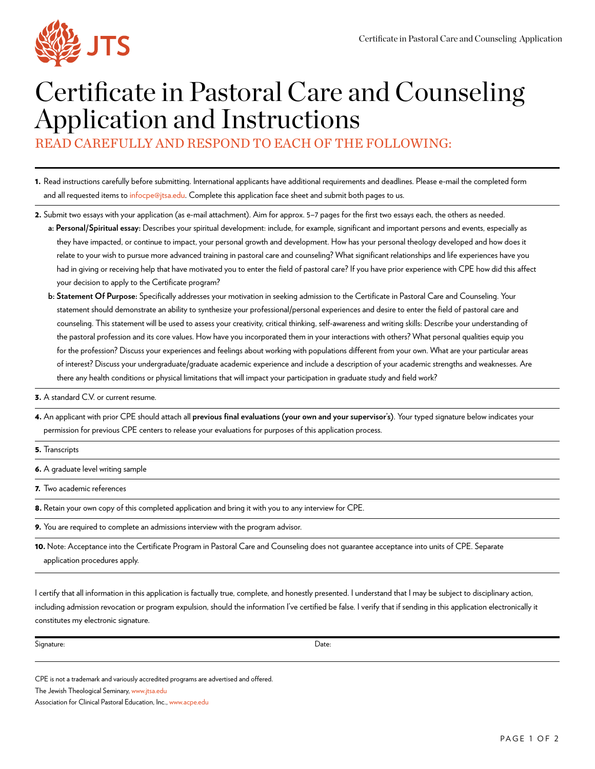

## Certificate in Pastoral Care and Counseling Application and Instructions

READ CAREFULLY AND RESPOND TO EACH OF THE FOLLOWING:

- 1. Read instructions carefully before submitting. International applicants have additional requirements and deadlines. Please e-mail the completed form and all requested items to [infocpe@jtsa.edu](mailto:infocpe@jtsa.edu). Complete this application face sheet and submit both pages to us.
- 2. Submit two essays with your application (as e-mail attachment). Aim for approx. 5–7 pages for the first two essays each, the others as needed.
	- **a: Personal/Spiritual essay:** Describes your spiritual development: include, for example, significant and important persons and events, especially as they have impacted, or continue to impact, your personal growth and development. How has your personal theology developed and how does it relate to your wish to pursue more advanced training in pastoral care and counseling? What significant relationships and life experiences have you had in giving or receiving help that have motivated you to enter the field of pastoral care? If you have prior experience with CPE how did this affect your decision to apply to the Certificate program?
	- **b: Statement Of Purpose:** Specifically addresses your motivation in seeking admission to the Certificate in Pastoral Care and Counseling. Your statement should demonstrate an ability to synthesize your professional/personal experiences and desire to enter the field of pastoral care and counseling. This statement will be used to assess your creativity, critical thinking, self-awareness and writing skills: Describe your understanding of the pastoral profession and its core values. How have you incorporated them in your interactions with others? What personal qualities equip you for the profession? Discuss your experiences and feelings about working with populations different from your own. What are your particular areas of interest? Discuss your undergraduate/graduate academic experience and include a description of your academic strengths and weaknesses. Are there any health conditions or physical limitations that will impact your participation in graduate study and field work?
- **3.** A standard C.V. or current resume.
- 4. An applicant with prior CPE should attach all **previous final evaluations (your own and your supervisor's)**. Your typed signature below indicates your permission for previous CPE centers to release your evaluations for purposes of this application process.

| <b>5.</b> Iranscripts |
|-----------------------|
|                       |

6. A graduate level writing sample

7. Two academic references

- 8. Retain your own copy of this completed application and bring it with you to any interview for CPE.
- 9. You are required to complete an admissions interview with the program advisor.
- 10. Note: Acceptance into the Certificate Program in Pastoral Care and Counseling does not guarantee acceptance into units of CPE. Separate application procedures apply.

I certify that all information in this application is factually true, complete, and honestly presented. I understand that I may be subject to disciplinary action, including admission revocation or program expulsion, should the information I've certified be false. I verify that if sending in this application electronically it constitutes my electronic signature.

Signature: Date:

CPE is not a trademark and variously accredited programs are advertised and offered.

The Jewish Theological Seminary, [www.jtsa.edu](www.jtsa.edu/Academics/Center-for-Pastoral-Education)

Association for Clinical Pastoral Education, Inc., [www.acpe.edu](http://www.acpe.edu)